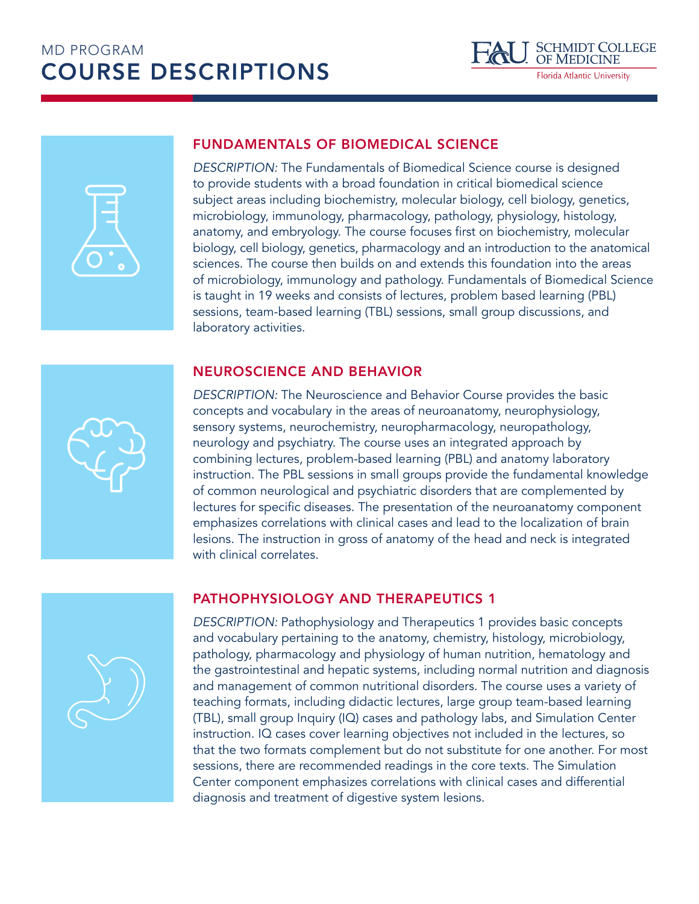# MD PROGRAM COURSE DESCRIPTIONS





### FUNDAMENTALS OF BIOMEDICAL SCIENCE

*DESCRIPTION:* The Fundamentals of Biomedical Science course is designed to provide students with a broad foundation in critical biomedical science subject areas including biochemistry, molecular biology, cell biology, genetics, microbiology, immunology, pharmacology, pathology, physiology, histology, anatomy, and embryology. The course focuses first on biochemistry, molecular biology, cell biology, genetics, pharmacology and an introduction to the anatomical sciences. The course then builds on and extends this foundation into the areas of microbiology, immunology and pathology. Fundamentals of Biomedical Science is taught in 19 weeks and consists of lectures, problem based learning (PBL) sessions, team-based learning (TBL) sessions, small group discussions, and laboratory activities.

## NEUROSCIENCE AND BEHAVIOR

*DESCRIPTION:* The Neuroscience and Behavior Course provides the basic concepts and vocabulary in the areas of neuroanatomy, neurophysiology, sensory systems, neurochemistry, neuropharmacology, neuropathology, neurology and psychiatry. The course uses an integrated approach by combining lectures, problem-based learning (PBL) and anatomy laboratory instruction. The PBL sessions in small groups provide the fundamental knowledge of common neurological and psychiatric disorders that are complemented by lectures for specific diseases. The presentation of the neuroanatomy component emphasizes correlations with clinical cases and lead to the localization of brain lesions. The instruction in gross of anatomy of the head and neck is integrated with clinical correlates.

### PATHOPHYSIOLOGY AND THERAPEUTICS 1

*DESCRIPTION:* Pathophysiology and Therapeutics 1 provides basic concepts and vocabulary pertaining to the anatomy, chemistry, histology, microbiology, pathology, pharmacology and physiology of human nutrition, hematology and the gastrointestinal and hepatic systems, including normal nutrition and diagnosis and management of common nutritional disorders. The course uses a variety of teaching formats, including didactic lectures, large group team-based learning (TBL), small group Inquiry (IQ) cases and pathology labs, and Simulation Center instruction. IQ cases cover learning objectives not included in the lectures, so that the two formats complement but do not substitute for one another. For most sessions, there are recommended readings in the core texts. The Simulation Center component emphasizes correlations with clinical cases and differential diagnosis and treatment of digestive system lesions.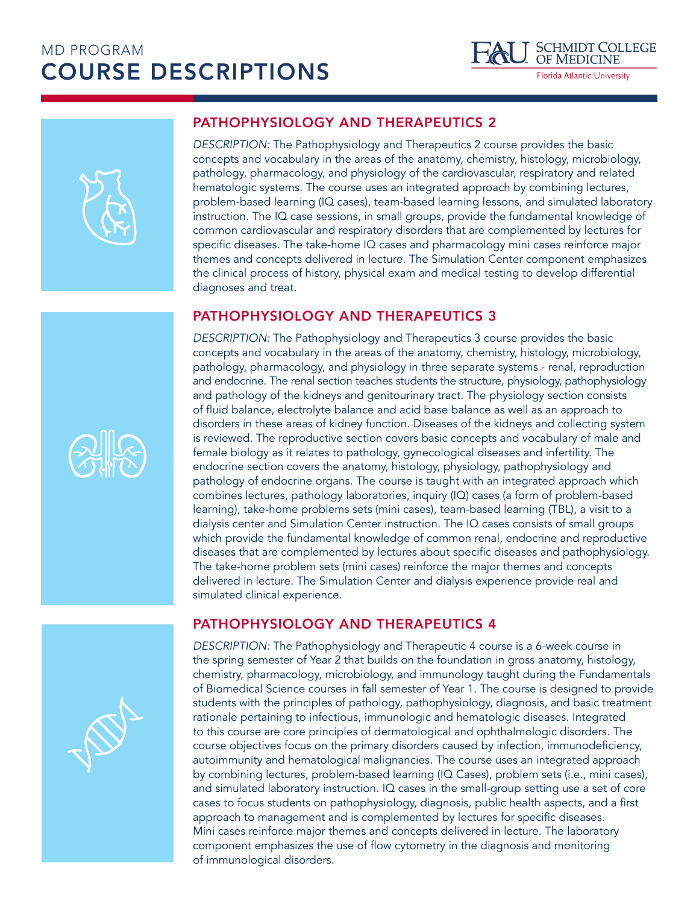



### PATHOPHYSIOLOGY AND THERAPEUTICS 2

*DESCRIPTION:* The Pathophysiology and Therapeutics 2 course provides the basic concepts and vocabulary in the areas of the anatomy, chemistry, histology, microbiology, pathology, pharmacology, and physiology of the cardiovascular, respiratory and related hematologic systems. The course uses an integrated approach by combining lectures, problem-based learning (IQ cases), team-based learning lessons, and simulated laboratory instruction. The IQ case sessions, in small groups, provide the fundamental knowledge of common cardiovascular and respiratory disorders that are complemented by lectures for specific diseases. The take-home IQ cases and pharmacology mini cases reinforce major themes and concepts delivered in lecture. The Simulation Center component emphasizes the clinical process of history, physical exam and medical testing to develop differential diagnoses and treat.

### PATHOPHYSIOLOGY AND THERAPEUTICS 3

*DESCRIPTION:* The Pathophysiology and Therapeutics 3 course provides the basic concepts and vocabulary in the areas of the anatomy, chemistry, histology, microbiology, pathology, pharmacology, and physiology in three separate systems - renal, reproduction and endocrine. The renal section teaches students the structure, physiology, pathophysiology and pathology of the kidneys and genitourinary tract. The physiology section consists of fluid balance, electrolyte balance and acid base balance as well as an approach to disorders in these areas of kidney function. Diseases of the kidneys and collecting system is reviewed. The reproductive section covers basic concepts and vocabulary of male and female biology as it relates to pathology, gynecological diseases and infertility. The endocrine section covers the anatomy, histology, physiology, pathophysiology and pathology of endocrine organs. The course is taught with an integrated approach which combines lectures, pathology laboratories, inquiry (IQ) cases (a form of problem-based learning), take-home problems sets (mini cases), team-based learning (TBL), a visit to a dialysis center and Simulation Center instruction. The IQ cases consists of small groups which provide the fundamental knowledge of common renal, endocrine and reproductive diseases that are complemented by lectures about specific diseases and pathophysiology. The take-home problem sets (mini cases) reinforce the major themes and concepts delivered in lecture. The Simulation Center and dialysis experience provide real and simulated clinical experience.

### PATHOPHYSIOLOGY AND THERAPEUTICS 4

*DESCRIPTION:* The Pathophysiology and Therapeutic 4 course is a 6-week course in the spring semester of Year 2 that builds on the foundation in gross anatomy, histology, chemistry, pharmacology, microbiology, and immunology taught during the Fundamentals of Biomedical Science courses in fall semester of Year 1. The course is designed to provide students with the principles of pathology, pathophysiology, diagnosis, and basic treatment rationale pertaining to infectious, immunologic and hematologic diseases. Integrated to this course are core principles of dermatological and ophthalmologic disorders. The course objectives focus on the primary disorders caused by infection, immunodeficiency, autoimmunity and hematological malignancies. The course uses an integrated approach by combining lectures, problem-based learning (IQ Cases), problem sets (i.e., mini cases), and simulated laboratory instruction. IQ cases in the small-group setting use a set of core cases to focus students on pathophysiology, diagnosis, public health aspects, and a first approach to management and is complemented by lectures for specific diseases. Mini cases reinforce major themes and concepts delivered in lecture. The laboratory component emphasizes the use of flow cytometry in the diagnosis and monitoring of immunological disorders.



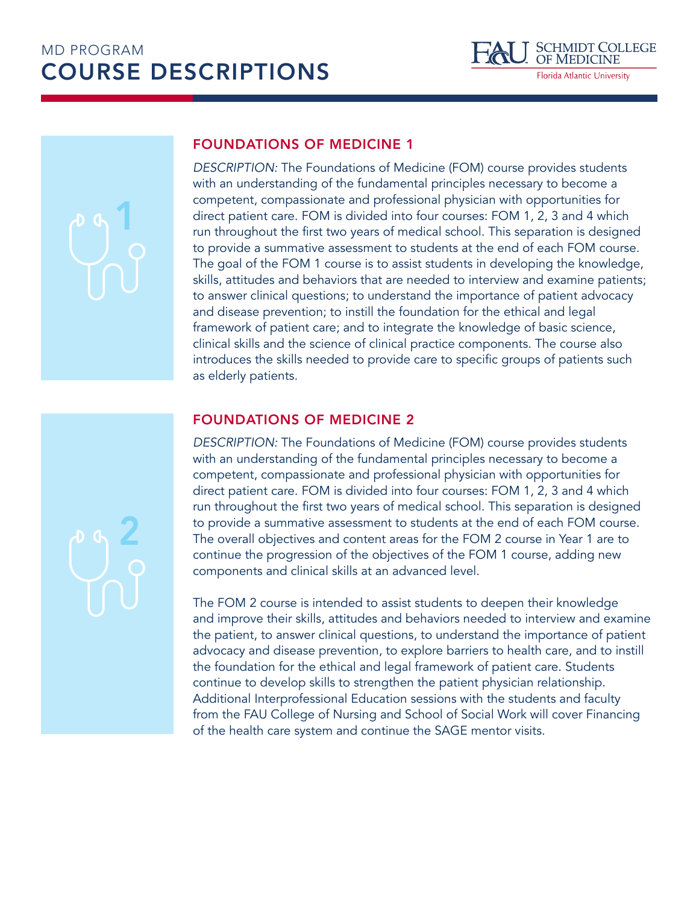## MD PROGRAM COURSE DESCRIPTIONS



# 1

2

### FOUNDATIONS OF MEDICINE 1

*DESCRIPTION:* The Foundations of Medicine (FOM) course provides students with an understanding of the fundamental principles necessary to become a competent, compassionate and professional physician with opportunities for direct patient care. FOM is divided into four courses: FOM 1, 2, 3 and 4 which run throughout the first two years of medical school. This separation is designed to provide a summative assessment to students at the end of each FOM course. The goal of the FOM 1 course is to assist students in developing the knowledge, skills, attitudes and behaviors that are needed to interview and examine patients; to answer clinical questions; to understand the importance of patient advocacy and disease prevention; to instill the foundation for the ethical and legal framework of patient care; and to integrate the knowledge of basic science, clinical skills and the science of clinical practice components. The course also introduces the skills needed to provide care to specific groups of patients such as elderly patients.

### FOUNDATIONS OF MEDICINE 2

*DESCRIPTION:* The Foundations of Medicine (FOM) course provides students with an understanding of the fundamental principles necessary to become a competent, compassionate and professional physician with opportunities for direct patient care. FOM is divided into four courses: FOM 1, 2, 3 and 4 which run throughout the first two years of medical school. This separation is designed to provide a summative assessment to students at the end of each FOM course. The overall objectives and content areas for the FOM 2 course in Year 1 are to continue the progression of the objectives of the FOM 1 course, adding new components and clinical skills at an advanced level.

The FOM 2 course is intended to assist students to deepen their knowledge and improve their skills, attitudes and behaviors needed to interview and examine the patient, to answer clinical questions, to understand the importance of patient advocacy and disease prevention, to explore barriers to health care, and to instill the foundation for the ethical and legal framework of patient care. Students continue to develop skills to strengthen the patient physician relationship. Additional Interprofessional Education sessions with the students and faculty from the FAU College of Nursing and School of Social Work will cover Financing of the health care system and continue the SAGE mentor visits.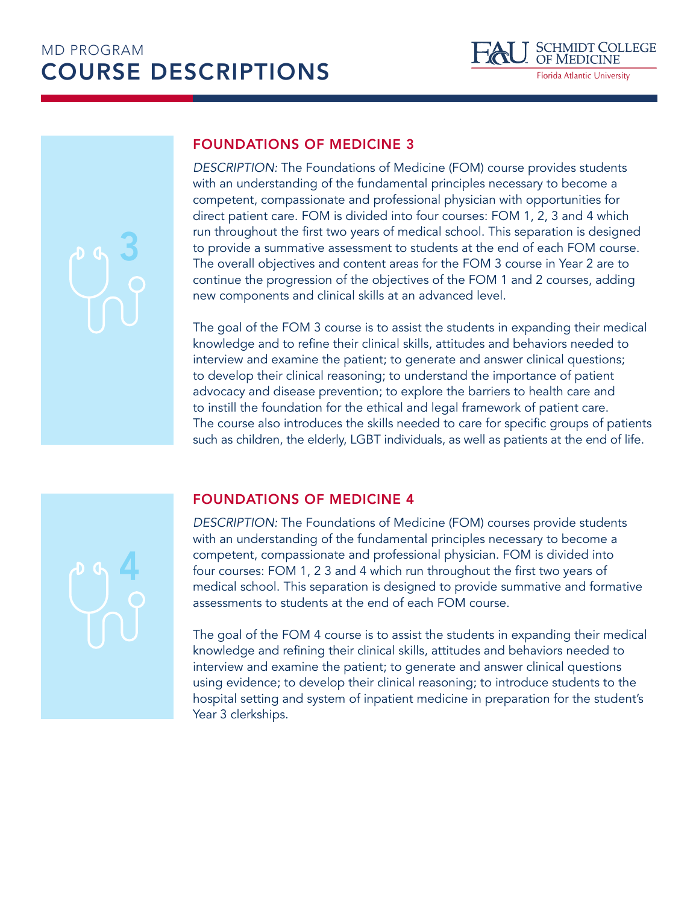

FOUNDATIONS OF MEDICINE 3

*DESCRIPTION:* The Foundations of Medicine (FOM) course provides students with an understanding of the fundamental principles necessary to become a competent, compassionate and professional physician with opportunities for direct patient care. FOM is divided into four courses: FOM 1, 2, 3 and 4 which run throughout the first two years of medical school. This separation is designed to provide a summative assessment to students at the end of each FOM course. The overall objectives and content areas for the FOM 3 course in Year 2 are to continue the progression of the objectives of the FOM 1 and 2 courses, adding new components and clinical skills at an advanced level.

The goal of the FOM 3 course is to assist the students in expanding their medical knowledge and to refine their clinical skills, attitudes and behaviors needed to interview and examine the patient; to generate and answer clinical questions; to develop their clinical reasoning; to understand the importance of patient advocacy and disease prevention; to explore the barriers to health care and to instill the foundation for the ethical and legal framework of patient care. The course also introduces the skills needed to care for specific groups of patients such as children, the elderly, LGBT individuals, as well as patients at the end of life.

4

3

### FOUNDATIONS OF MEDICINE 4

*DESCRIPTION:* The Foundations of Medicine (FOM) courses provide students with an understanding of the fundamental principles necessary to become a competent, compassionate and professional physician. FOM is divided into four courses: FOM 1, 2 3 and 4 which run throughout the first two years of medical school. This separation is designed to provide summative and formative assessments to students at the end of each FOM course.

The goal of the FOM 4 course is to assist the students in expanding their medical knowledge and refining their clinical skills, attitudes and behaviors needed to interview and examine the patient; to generate and answer clinical questions using evidence; to develop their clinical reasoning; to introduce students to the hospital setting and system of inpatient medicine in preparation for the student's Year 3 clerkships.